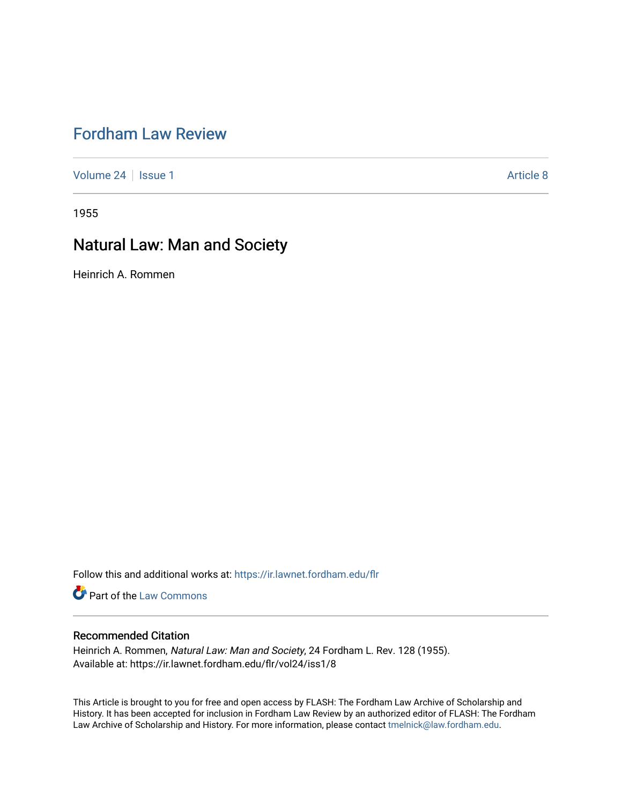## [Fordham Law Review](https://ir.lawnet.fordham.edu/flr)

[Volume 24](https://ir.lawnet.fordham.edu/flr/vol24) | [Issue 1](https://ir.lawnet.fordham.edu/flr/vol24/iss1) Article 8

1955

# Natural Law: Man and Society

Heinrich A. Rommen

Follow this and additional works at: [https://ir.lawnet.fordham.edu/flr](https://ir.lawnet.fordham.edu/flr?utm_source=ir.lawnet.fordham.edu%2Fflr%2Fvol24%2Fiss1%2F8&utm_medium=PDF&utm_campaign=PDFCoverPages)

**Part of the [Law Commons](http://network.bepress.com/hgg/discipline/578?utm_source=ir.lawnet.fordham.edu%2Fflr%2Fvol24%2Fiss1%2F8&utm_medium=PDF&utm_campaign=PDFCoverPages)** 

### Recommended Citation

Heinrich A. Rommen, Natural Law: Man and Society, 24 Fordham L. Rev. 128 (1955). Available at: https://ir.lawnet.fordham.edu/flr/vol24/iss1/8

This Article is brought to you for free and open access by FLASH: The Fordham Law Archive of Scholarship and History. It has been accepted for inclusion in Fordham Law Review by an authorized editor of FLASH: The Fordham Law Archive of Scholarship and History. For more information, please contact [tmelnick@law.fordham.edu](mailto:tmelnick@law.fordham.edu).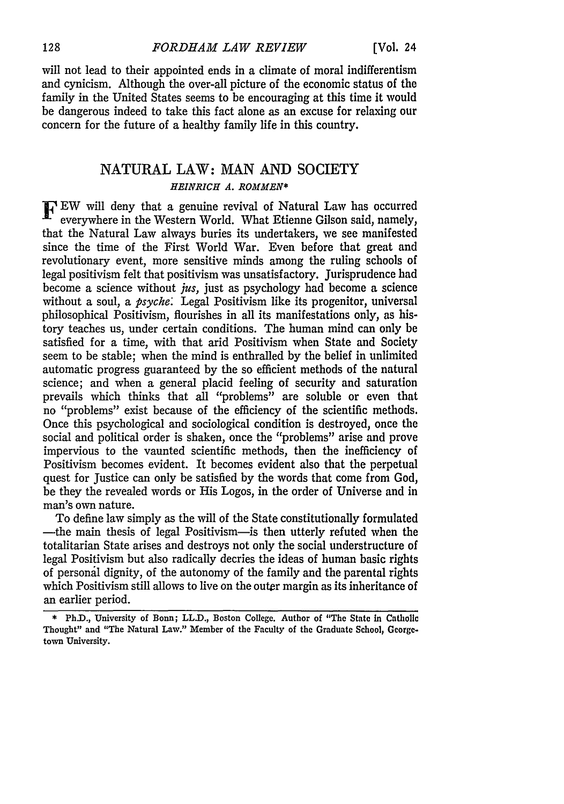will not lead to their appointed ends in a climate of moral indifferentism and cynicism. Although the over-all picture of the economic status of the family in the United States seems to be encouraging at this time it would be dangerous indeed to take this fact alone as an excuse for relaxing our concern for the future of a healthy family life in this country.

## NATURAL LAW: MAN AND SOCIETY *HEINRICH A. ROMMEN\**

F EW will deny that a genuine revival of Natural Law has occurred everywhere in the Western World. What Etienne Gilson said, namely, that the Natural Law always buries its undertakers, we see manifested since the time of the First World War. Even before that great and revolutionary event, more sensitive minds among the ruling schools of legal positivism felt that positivism was unsatisfactory. Jurisprudence had become a science without *jus,* just as psychology had become a science without a soul, a *psyche:* Legal Positivism like its progenitor, universal philosophical Positivism, flourishes in all its manifestations only, as history teaches us, under certain conditions. The human mind can only be satisfied for a time, with that arid Positivism when State and Society seem to be stable; when the mind is enthralled by the belief in unlimited automatic progress guaranteed by the so efficient methods of the natural science; and when a general placid feeling of security and saturation prevails which thinks that all "problems" are soluble or even that no "problems" exist because of the efficiency of the scientific methods. Once this psychological and sociological condition is destroyed, once the social and political order is shaken, once the "problems" arise and prove impervious to the vaunted scientific methods, then the inefficiency of Positivism becomes evident. It becomes evident also that the perpetual quest for Justice can only be satisfied by the words that come from God, be they the revealed words or His Logos, in the order of Universe and in man's own nature.

To define law simply as the will of the State constitutionally formulated -the main thesis of legal Positivism-is then utterly refuted when the totalitarian State arises and destroys not only the social understructure of legal Positivism but also radically decries the ideas of human basic rights of personal dignity, of the autonomy of the family and the parental rights which Positivism still allows to live on the outer margin as its inheritance of an earlier period.

<sup>\*</sup> Ph.D., University of Bonn; LL.D., Boston College. Author of "The State in Catholic Thought" and "The Natural Law." Member of **the Faculty** of **the** Graduate School, **George**town University.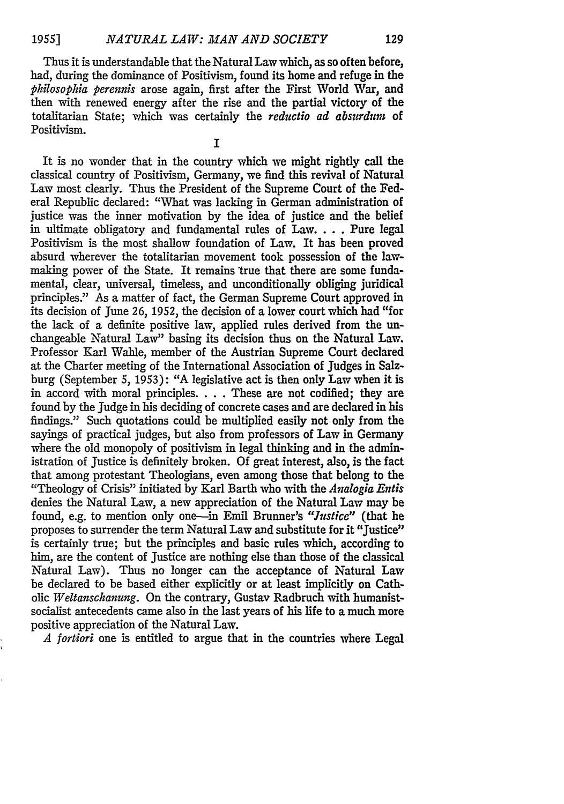Thus it is understandable that the Natural Law which, as so often before, had, during the dominance of Positivism, found its home and refuge in the *philosophia perennis* arose again, first after the First World War, and then with renewed energy after the rise and the partial victory of the totalitarian State; which was certainly the *reductio ad absurdurn* of Positivism.

I

It is no wonder that in the country which we might rightly call the classical country of Positivism, Germany, we find this revival of Natural Law most clearly. Thus the President of the Supreme Court of the Federal Republic declared: "What was lacking in German administration of justice was the inner motivation by the idea of justice and the belief in ultimate obligatory and fundamental rules of Law... . Pure legal Positivism is the most shallow foundation of Law. It has been proved absurd wherever the totalitarian movement took possession of the lawmaking power of the State. It remains true that there are some fundamental, clear, universal, timeless, and unconditionally obliging juridical principles." As a matter of fact, the German Supreme Court approved in its decision of June 26, 1952, the decision of a lower court which had "for the lack of a definite positive law, applied rules derived from the unchangeable Natural Law" basing its decision thus on the Natural Law. Professor Karl Wahle, member of the Austrian Supreme Court declared at the Charter meeting of the International Association of Judges in Salzburg (September 5, 1953): "A legislative act is then only Law when it is in accord with moral principles. . . . These are not codified; they are found by the Judge in his deciding of concrete cases and are declared in his findings." Such quotations could be multiplied easily not only from the sayings of practical judges, but also from professors of Law in Germany where the old monopoly of positivism in legal thinking and in the administration of Justice is definitely broken. Of great interest, also, is the fact that among protestant Theologians, even among those that belong to the "Theology of Crisis" initiated by Karl Barth who with the *Analogia Entis* denies the Natural Law, a new appreciation of the Natural Law may be found, e.g. to mention only one-in Emil Brunner's *"Justice"* (that he proposes to surrender the term Natural Law and substitute for it "Justice" is certainly true; but the principles and basic rules which, according to him, are the content of Justice are nothing else than those of the classical Natural Law). Thus no longer can the acceptance of Natural Law be declared to be based either explicitly or at least implicitly on Catholic *Weltansckanung.* On the contrary, Gustav Radbruch with humanistsocialist antecedents came also in the last years of his life to a much more positive appreciation of the Natural Law.

*A fortiori* one is entitled to argue that in the countries where Legal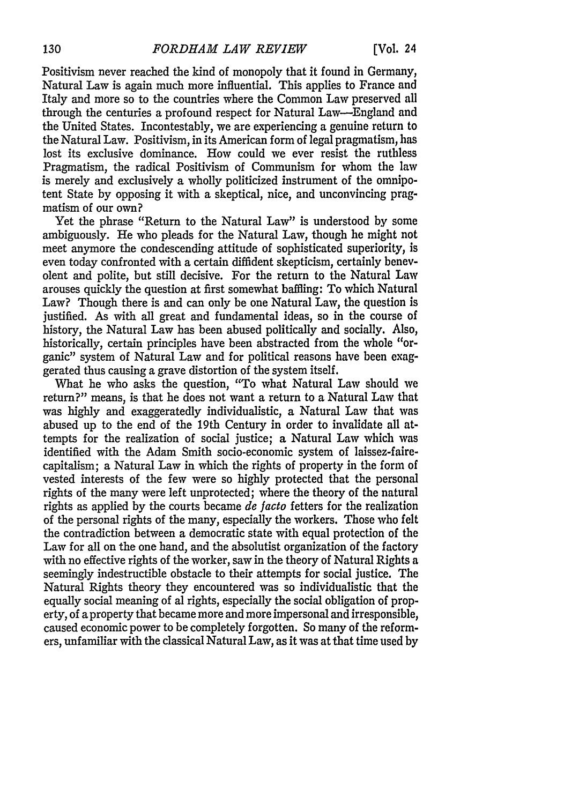Positivism never reached the kind of monopoly that it found in Germany, Natural Law is again much more influential. This applies to France and Italy and more so to the countries where the Common Law preserved all through the centuries a profound respect for Natural Law-England and the United States. Incontestably, we are experiencing a genuine return to the Natural Law. Positivism, in its American form of legal pragmatism, has lost its exclusive dominance. How could we ever resist the ruthless Pragmatism, the radical Positivism of Communism for whom the law is merely and exclusively a wholly politicized instrument of the omnipotent State by opposing it with a skeptical, nice, and unconvincing pragmatism of our own?

Yet the phrase "Return to the Natural Law" is understood by some ambiguously. He who pleads for the Natural Law, though he might not meet anymore the condescending attitude of sophisticated superiority, is even today confronted with a certain diffident skepticism, certainly benevolent and polite, but still decisive. For the return to the Natural Law arouses quickly the question at first somewhat baffling: To which Natural Law? Though there is and can only be one Natural Law, the question is justified. As with all great and fundamental ideas, so in the course of history, the Natural Law has been abused politically and socially. Also, historically, certain principles have been abstracted from the whole "organic" system of Natural Law and for political reasons have been exaggerated thus causing a grave distortion of the system itself.

What he who asks the question, "To what Natural Law should we return?" means, is that he does not want a return to a Natural Law that was highly and exaggeratedly individualistic, a Natural Law that was abused up to the end of the 19th Century in order to invalidate all attempts for the realization of social justice; a Natural Law which was identified with the Adam Smith socio-economic system of laissez-fairecapitalism; a Natural Law in which the rights of property in the form of vested interests of the few were so highly protected that the personal rights of the many were left unprotected; where the theory of the natural rights as applied by the courts became *de* facto fetters for the realization of the personal rights of the many, especially the workers. Those who felt the contradiction between a democratic state with equal protection of the Law for all on the one hand, and the absolutist organization of the factory with no effective rights of the worker, saw in the theory of Natural Rights a seemingly indestructible obstacle to their attempts for social justice. The Natural Rights theory they encountered was so individualistic that the equally social meaning of al rights, especially the social obligation of property, of a property that became more and more impersonal and irresponsible, caused economic power to be completely forgotten. So many of the reformers, unfamiliar with the classical Natural Law, as it was at that time used by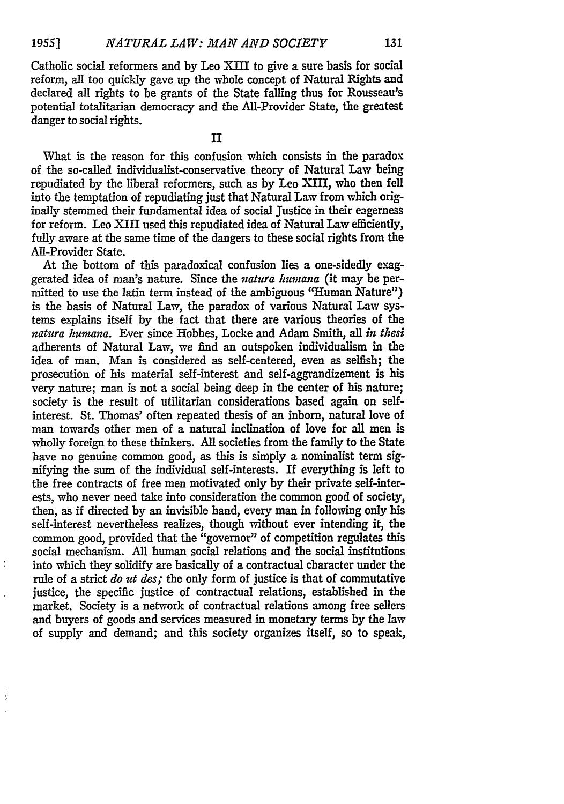Catholic social reformers and by Leo XIII to give a sure basis for social reform, all too quickly gave up the whole concept of Natural Rights and declared all rights to be grants of the State falling thus for Rousseau's potential totalitarian democracy and the All-Provider State, the greatest danger to social rights.

II

What is the reason for this confusion which consists in the paradox of the so-called individualist-conservative theory of Natural Law being repudiated by the liberal reformers, such as **by** Leo XIII, who then fell into the temptation of repudiating just that Natural Law from which originally stemmed their fundamental idea of social Justice in their eagerness for reform. Leo XIII used this repudiated idea of Natural Law efficiently, fully aware at the same time of the dangers to these social rights from the All-Provider State.

At the bottom of this paradoxical confusion lies a one-sidedly exaggerated idea of man's nature. Since the *vatura humana* (it may be permitted to use the latin term instead of the ambiguous "Human Nature") is the basis of Natural Law, the paradox of various Natural Law systems explains itself by the fact that there are various theories of the *natura kumana.* Ever since Hobbes, Locke and Adam Smith, all *in thesi* adherents of Natural Law, we find an outspoken individualism in the idea of man. Man is considered as self-centered, even as selfish; the prosecution of his material self-interest and self-aggrandizement is his very nature; man is not a social being deep in the center of his nature; society is the result of utilitarian considerations based again on selfinterest. St. Thomas' often repeated thesis of an inborn, natural love of man towards other men of a natural inclination of love for all men is wholly foreign to these thinkers. All societies from the family to the State have no genuine common good, as this is simply a nominalist term signifying the sum of the individual self-interests. If everything is left to the free contracts of free men motivated only by their private self-interests, who never need take into consideration the common good of society, then, as if directed by an invisible hand, every man in following only his self-interest nevertheless realizes, though without ever intending it, the common good, provided that the "governor" of competition regulates this social mechanism. All human social relations and the social institutions into which they solidify are basically of a contractual character under the rule of a strict *do ut des;* the only form of justice is that of commutative justice, the specific justice of contractual relations, established in the market. Society is a network of contractual relations among free sellers and buyers of goods and services measured in monetary terms by the law of supply and demand; and this society organizes itself, so to speak,

 $\overline{\phantom{a}}$ 

 $\frac{1}{2}$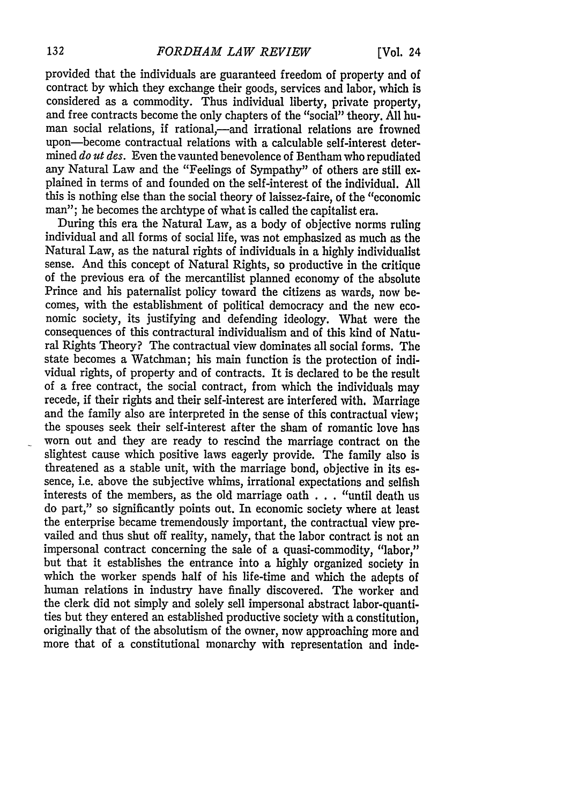provided that the individuals are guaranteed freedom of property and of contract by which they exchange their goods, services and labor, which is considered as a commodity. Thus individual liberty, private property, and free contracts become the only chapters of the "social" theory. All human social relations, if rational,---and irrational relations are frowned upon-become contractual relations with a calculable self-interest determined *do ut des.* Even the vaunted benevolence of Bentham who repudiated any Natural Law and the "Feelings of Sympathy" of others are still explained in terms of and founded on the self-interest of the individual. All this is nothing else than the social theory of laissez-faire, of the "economic man"; he becomes the archtype of what is called the capitalist era.

During this era the Natural Law, as a body of objective norms ruling individual and all forms of social life, was not emphasized as much as the Natural Law, as the natural rights of individuals in a highly individualist sense. And this concept of Natural Rights, so productive in the critique of the previous era of the mercantilist planned economy of the absolute Prince and his paternalist policy toward the citizens as wards, now becomes, with the establishment of political democracy and the new economic society, its justifying and defending ideology. What were the consequences of this contractural individualism and of this kind of Natural Rights Theory? The contractual view dominates all social forms. The state becomes a Watchman; his main function is the protection of individual rights, of property and of contracts. It is declared to be the result of a free contract, the social contract, from which the individuals may recede, if their rights and their self-interest are interfered with. Marriage and the family also are interpreted in the sense of this contractual view; the spouses seek their self-interest after the sham of romantic love has worn out and they are ready to rescind the marriage contract on the slightest cause which positive laws eagerly provide. The family also is threatened as a stable unit, with the marriage bond, objective in its essence, i.e. above the subjective whims, irrational expectations and selfish interests of the members, as the old marriage oath . . . "until death us do part," so significantly points out. In economic society where at least the enterprise became tremendously important, the contractual view prevailed and thus shut off reality, namely, that the labor contract is not an impersonal contract concerning the sale of a quasi-commodity, "labor," but that it establishes the entrance into a highly organized society in which the worker spends half of his life-time and which the adepts of human relations in industry have finally discovered. The worker and the clerk did not simply and solely sell impersonal abstract labor-quantities but they entered an established productive society with a constitution, originally that of the absolutism of the owner, now approaching more and more that of a constitutional monarchy with representation and inde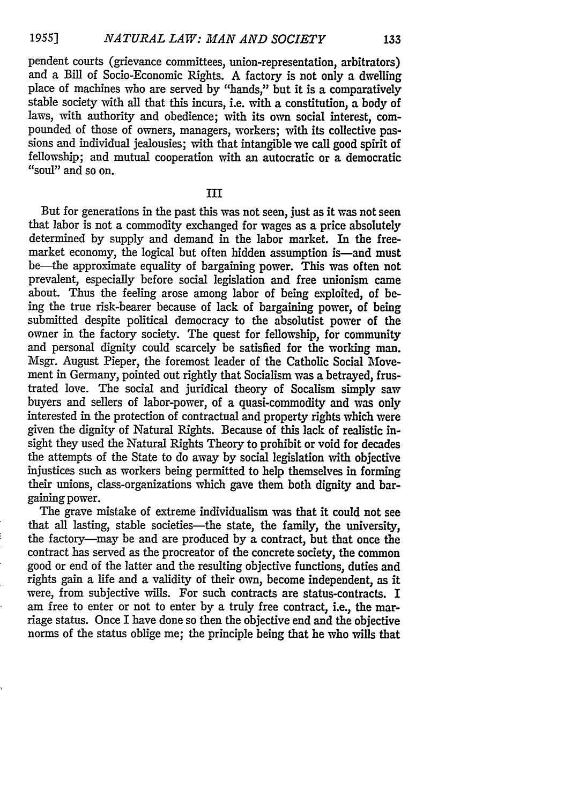pendent courts (grievance committees, union-representation, arbitrators) and a Bill of Socio-Economic Rights. A factory is not only a dwelling place of machines who are served by "hands," but it is a comparatively stable society with all that this incurs, i.e. with a constitution, a body of laws, with authority and obedience; with its own social interest, compounded of those of owners, managers, workers; with its collective passions and individual jealousies; with that intangible we call good spirit of fellowship; and mutual cooperation with an autocratic or a democratic "soul" and so on.

III

But for generations in the past this was not seen, just as it was not seen that labor is not a commodity exchanged for wages as a price absolutely determined by supply and demand in the labor market. In the freemarket economy, the logical but often hidden assumption is—and must be-the approximate equality of bargaining power. This was often not prevalent, especially before social legislation and free unionism came about. Thus the feeling arose among labor of being exploited, of being the true risk-bearer because of lack of bargaining power, of being submitted despite political democracy to the absolutist power of the owner in the factory society. The quest for fellowship, for community and personal dignity could scarcely be satisfied for the working man. Msgr. August Pieper, the foremost leader of the Catholic Social Movement in Germany, pointed out rightly that Socialism was a betrayed, frustrated love. The social and juridical theory of Socalism simply saw buyers and sellers of labor-power, of a quasi-commodity and was only interested in the protection of contractual and property rights which were given the dignity of Natural Rights. Because of this lack of realistic insight they used the Natural Rights Theory to prohibit or void for decades the attempts of the State to do away by social legislation with objective injustices such as workers being permitted to help themselves in forming their unions, class-organizations which gave them both dignity and bargaining power.

The grave mistake of extreme individualism was that it could not see that all lasting, stable societies-the state, the family, the university, the factory-may be and are produced by a contract, but that once the contract has served as the procreator of the concrete society, the common good or end of the latter and the resulting objective functions, duties and rights gain a life and a validity of their own, become independent, as it were, from subjective wills. For such contracts are status-contracts. I am free to enter or not to enter by a truly free contract, i.e., the marriage status. Once I have done so then the objective end and the objective norms of the status oblige me; the principle being that he who wills that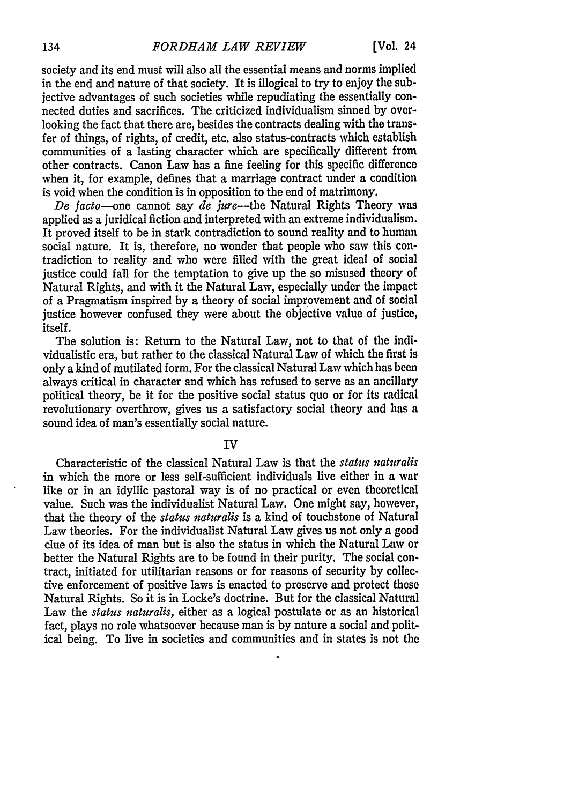society and its end must will also all the essential means and norms implied in the end and nature of that society. It is illogical to try to enjoy the subjective advantages of such societies while repudiating the essentially connected duties and sacrifices. The criticized individualism sinned **by** overlooking the fact that there are, besides the contracts dealing with the transfer of things, of rights, of credit, etc. also status-contracts which establish communities of a lasting character which are specifically different from other contracts. Canon Law has a fine feeling for this specific difference when it, for example, defines that a marriage contract under a condition is void when the condition is in opposition to the end of matrimony.

*De facto-one* cannot say *de jure-the* Natural Rights Theory was applied as a juridical fiction and interpreted with an extreme individualism. It proved itself to be in stark contradiction to sound reality and to human social nature. It is, therefore, no wonder that people who saw this contradiction to reality and who were filled with the great ideal of social justice could fall for the temptation to give up the so misused theory of Natural Rights, and with it the Natural Law, especially under the impact of a Pragmatism inspired by a theory of social improvement and of social justice however confused they were about the objective value of justice, itself.

The solution is: Return to the Natural Law, not to that of the individualistic era, but rather to the classical Natural Law of which the first is only a kind of mutilated form. For the classical Natural Law which has been always critical in character and which has refused to serve as an ancillary political theory, be it for the positive social status quo or for its radical revolutionary overthrow, gives us a satisfactory social theory and has a sound idea of man's essentially social nature.

#### IV

Characteristic of the classical Natural Law is that the *status naturalis* in which the more or less self-sufficient individuals live either in a war like or in an idyllic pastoral way is of no practical or even theoretical value. Such was the individualist Natural Law. One might say, however, that the theory of the *status naturalis* is a kind of touchstone of Natural Law theories. For the individualist Natural Law gives us not only a good clue of its idea of man but is also the status in which the Natural Law or better the Natural Rights are to be found in their purity. The social contract, initiated for utilitarian reasons or for reasons of security **by** collective enforcement of positive laws is enacted to preserve and protect these Natural Rights. So it is in Locke's doctrine. But for the classical Natural Law the *status naturalis,* either as a logical postulate or as an historical fact, plays no role whatsoever because man is **by** nature a social and political being. To live in societies and communities and in states is not the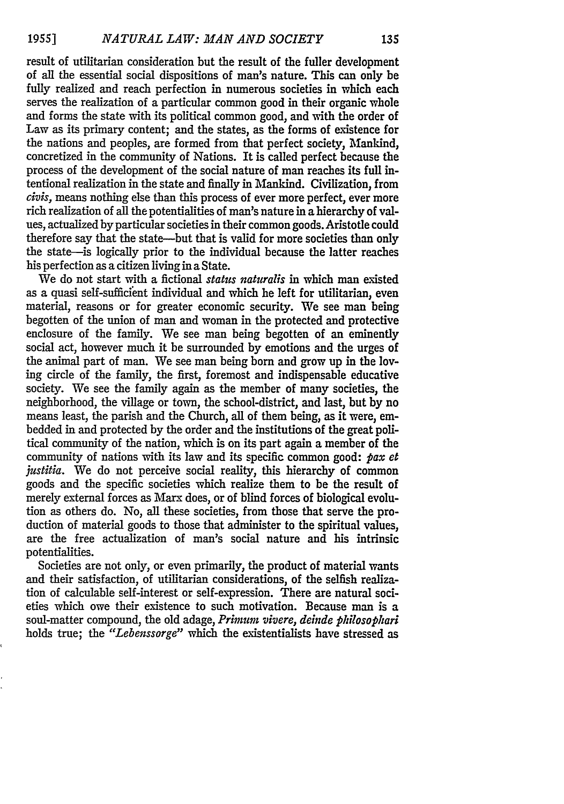result of utilitarian consideration but the result of the fuller development of all the essential social dispositions of man's nature. This can only be fully realized and reach perfection in numerous societies in which each serves the realization of a particular common good in their organic whole and forms the state with its political common good, and with the order of Law as its primary content; and the states, as the forms of existence for the nations and peoples, are formed from that perfect society, Mankind, concretized in the community of Nations. It is called perfect because the process of the development of the social nature of man reaches its full intentional realization in the state and finally in Mankind. Civilization, from *civis,* means nothing else than this process of ever more perfect, ever more rich realization of all the potentialities of man's nature in a hierarchy of values, actualized by particular societies in their common goods. Aristotle could therefore say that the state-but that is valid for more societies than only the state-is logically prior to the individual because the latter reaches his perfection as a citizen living in a State.

We do not start with a fictional *status naturalis* in which man existed as a quasi self-sufficient individual and which he left for utilitarian, even material, reasons or for greater economic security. We see man being begotten of the union of man and woman in the protected and protective enclosure of the family. We see man being begotten of an eminently social act, however much it be surrounded by emotions and the urges of the animal part of man. We see man being born and grow up in the loving circle of the family, the first, foremost and indispensable educative society. We see the family again as the member of many societies, the neighborhood, the village or town, the school-district, and last, but by no means least, the parish and the Church, all of them being, as it were, embedded in and protected by the order and the institutions of the great political community of the nation, which is on its part again a member of the community of nations with its law and its specific common good: *pax et* justitia. We do not perceive social reality, this hierarchy of common goods and the specific societies which realize them to be the result of merely external forces as Marx does, or of blind forces of biological evolution as others do. No, all these societies, from those that serve the production of material goods to those that administer to the spiritual values, are the free actualization of man's social nature and his intrinsic potentialities.

Societies are not only, or even primarily, the product of material wants and their satisfaction, of utilitarian considerations, of the selfish realization of calculable self-interest or self-expression. There are natural societies which owe their existence to such motivation. Because man is a soul-matter compound, the old adage, *Primum vivere, deinde philosophari* holds true; the *"Lebenssorge"* which the existentialists have stressed as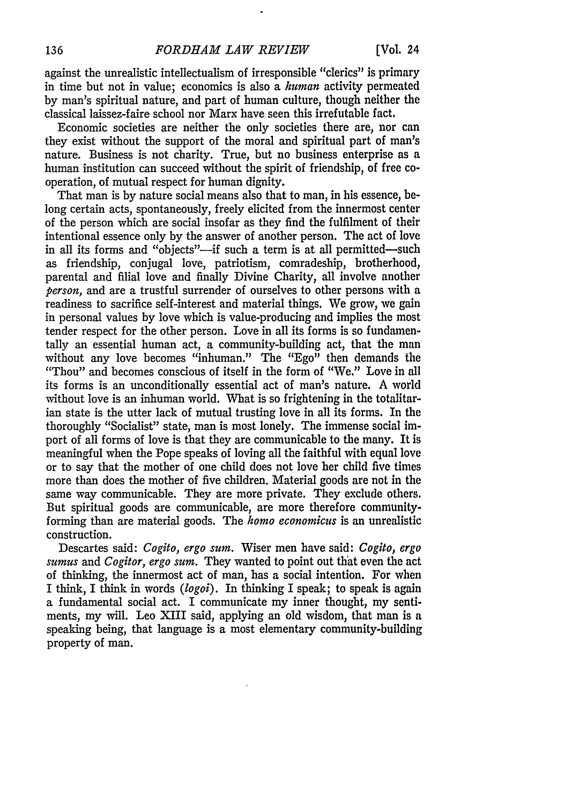against the unrealistic intellectualism of irresponsible "clerics" is primary in time but not in value; economics is also a *human* activity permeated by man's spiritual nature, and part of human culture, though neither the classical laissez-faire school nor Marx have seen this irrefutable fact.

Economic societies are neither the only societies there are, nor can they exist without the support of the moral and spiritual part of man's nature. Business is not charity. True, but no business enterprise as a human institution can succeed without the spirit of friendship, of free cooperation, of mutual respect for human dignity.

That man is by nature social means also that to man, in his essence, belong certain acts, spontaneously, freely elicited from the innermost center of the person which are social insofar as they find the fulfilment of their intentional essence only by the answer of another person. The act of love in all its forms and "objects"---if such a term is at all permitted--such as friendship, conjugal love, patriotism, comradeship, brotherhood, parental and filial love and finally Divine Charity, all involve another *person,* and are a trustful surrender of ourselves to other persons with a readiness to sacrifice self-interest and material things. We grow, we gain in personal values by love which is value-producing and implies the most tender respect for the other person. Love in all its forms is so fundamentally an essential human act, a community-building act, that the man without any love becomes "inhuman." The "Ego" then demands the "Thou" and becomes conscious of itself in the form of "We." Love in all its forms is an unconditionally essential act of man's nature. A world without love is an inhuman world. What is so frightening in the totalitarian state is the utter lack of mutual trusting love in all its forms. In the thoroughly "Socialist" state, man is most lonely. The immense social import of all forms of love is that they are communicable to the many. It is meaningful when the Pope speaks of loving all the faithful with equal love or to say that the mother of one child does not love her child five times more than does the mother of five children. Material goods are not in the same way communicable. They are more private. They exclude others. But spiritual goods are communicable, are more therefore communityforming than are material goods. The *homo economicus* is an unrealistic construction.

Descartes said: *Cogito, ergo sum.* Wiser men have said: *Cogito, ergo sumus and Cogitor, ergo sum.* They wanted to point out that even the act of thinking, the innermost act of man, has a social intention. For when I think, I think in words *(logoi).* In thinking I speak; to speak is again a fundamental social act. I communicate my inner thought, my sentiments, my will. Leo XIII said, applying an old wisdom, that man is a speaking being, that language is a most elementary community-building property of man.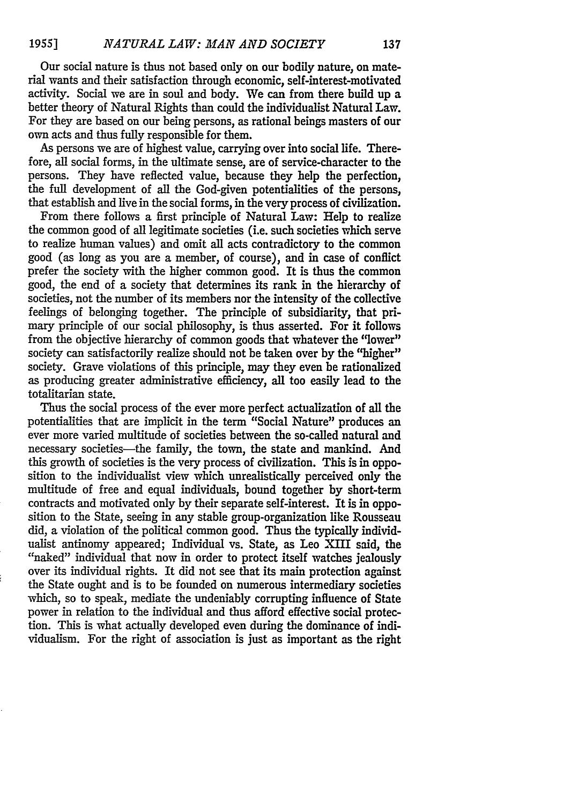Our social nature is thus not based only on our bodily nature, on material wants and their satisfaction through economic, self-interest-motivated activity. Social we are in soul and body. We can from there build up a better theory of Natural Rights than could the individualist Natural Law. For they are based on our being persons, as rational beings masters of our own acts and thus fully responsible for them.

As persons we are of highest value, carrying over into social life. Therefore, all social forms, in the ultimate sense, are of service-character to the persons. They have reflected value, because they help the perfection, the full development of all the God-given potentialities of the persons, that establish and live in the social forms, in the very process of civilization.

From there follows a first principle of Natural Law: Help to realize the common good of all legitimate societies (i.e. such societies which serve to realize human values) and omit all acts contradictory to the common good (as long as you are a member, of course), and in case of conflict prefer the society with the higher common good. It is thus the common good, the end of a society that determines its rank in the hierarchy of societies, not the number of its members nor the intensity of the collective feelings of belonging together. The principle of subsidiarity, that primary principle of our social philosophy, is thus asserted. For it follows from the objective hierarchy of common goods that whatever the "lower" society can satisfactorily realize should not be taken over by the "higher" society. Grave violations of this principle, may they even be rationalized as producing greater administrative efficiency, all too easily lead to the totalitarian state.

Thus the social process of the ever more perfect actualization of all the potentialities that are implicit in the term "Social Nature" produces an ever more varied multitude of societies between the so-called natural and necessary societies-the family, the town, the state and mankind. And this growth of societies is the very process of civilization. This is in opposition to the individualist view which unrealistically perceived only the multitude of free and equal individuals, bound together **by** short-term contracts and motivated only by their separate self-interest. It is in opposition to the State, seeing in any stable group-organization like Rousseau did, a violation of the political common good. Thus the typically individualist antinomy appeared; Individual vs. State, as Leo XIII said, the "naked" individual that now in order to protect itself watches jealously over its individual rights. It did not see that its main protection against the State ought and is to be founded on numerous intermediary societies which, so to speak, mediate the undeniably corrupting influence of State power in relation to the individual and thus afford effective social protection. This is what actually developed even during the dominance of individualism. For the right of association is just as important as the right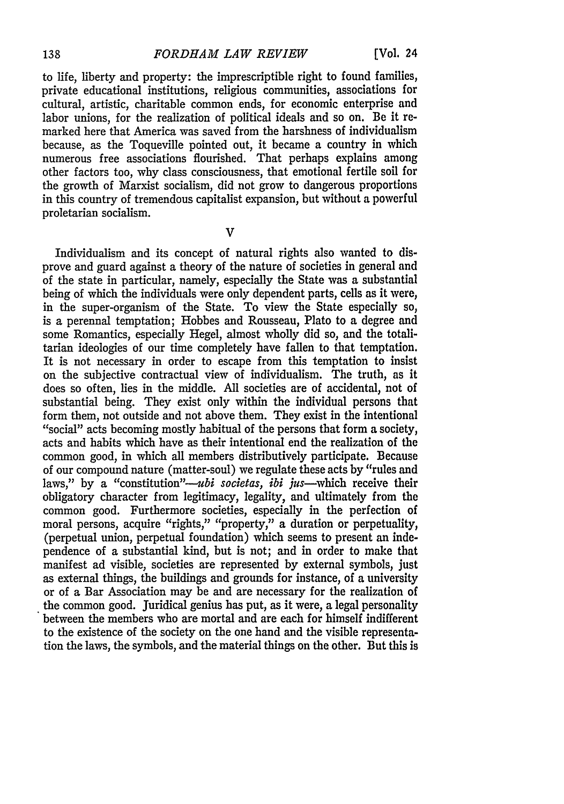to life, liberty and property: the imprescriptible right to found families, private educational institutions, religious communities, associations for cultural, artistic, charitable common ends, for economic enterprise and labor unions, for the realization of political ideals and so on. Be it remarked here that America was saved from the harshness of individualism because, as the Toqueville pointed out, it became a country in which numerous free associations flourished. That perhaps explains among other factors too, why class consciousness, that emotional fertile soil for the growth of Marxist socialism, did not grow to dangerous proportions in this country of tremendous capitalist expansion, but without a powerful proletarian socialism.

 $\overline{\mathbf{V}}$ 

Individualism and its concept of natural rights also wanted to disprove and guard against a theory of the nature of societies in general and of the state in particular, namely, especially the State was a substantial being of which the individuals were only dependent parts, cells as it were, in the super-organism of the State. To view the State especially so, is a perennal temptation; Hobbes and Rousseau, Plato to a degree and some Romantics, especially Hegel, almost wholly did so, and the totalitarian ideologies of our time completely have fallen to that temptation. It is not necessary in order to escape from this temptation to insist on the subjective contractual view of individualism. The truth, as it does so often, lies in the middle. All societies are of accidental, not of substantial being. They exist only within the individual persons that form them, not outside and not above them. They exist in the intentional "social" acts becoming mostly habitual of the persons that form a society. acts and habits which have as their intentional end the realization of the common good, in which all members distributively participate. Because of our compound nature (matter-soul) we regulate these acts by "rules and laws," by a "constitution"-*ubi societas, ibi jus*-which receive their obligatory character from legitimacy, legality, and ultimately from the common good. Furthermore societies, especially in the perfection of moral persons, acquire "rights," "property," a duration or perpetuality, (perpetual union, perpetual foundation) which seems to present an independence of a substantial kind, but is not; and in order to make that manifest ad visible, societies are represented by external symbols, just as external things, the buildings and grounds for instance, of a university or of a Bar Association may be and are necessary for the realization of the common good. Juridical genius has put, as it were, a legal personality between the members who are mortal and are each for himself indifferent to the existence of the society on the one hand and the visible representation the laws, the symbols, and the material things on the other. But this is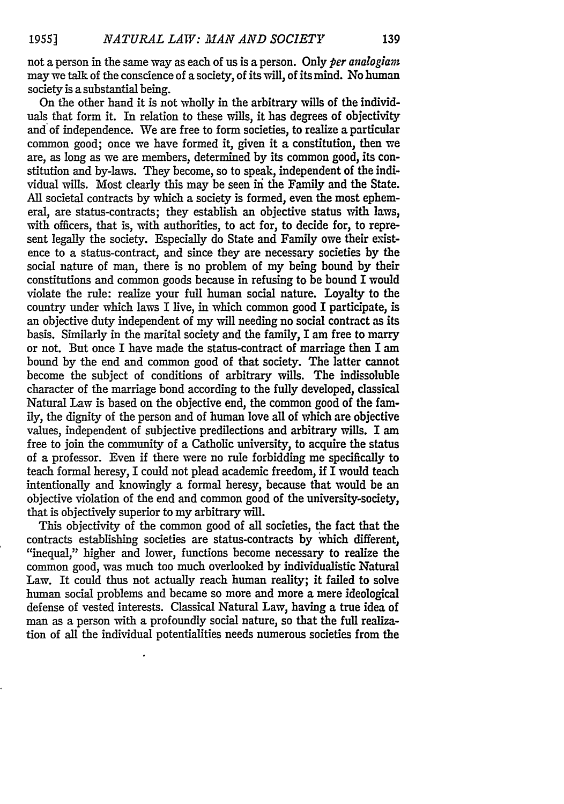not a person in the same way as each of us is a person. Only *per analogiarn* may we talk of the conscience of a society, of its will, of its mind. No human society is a substantial being.

On the other hand it is not wholly in the arbitrary wills of the individuals that form it. In relation to these wills, it has degrees of objectivity and of independence. We are free to form societies, to realize a particular common good; once we have formed it, given it a constitution, then we are, as long as we are members, determined by its common good, its constitution and by-laws. They become, so to speak, independent of the individual wills. Most clearly this may be seen in the Family and the State. All societal contracts by which a society is formed, even the most ephemeral, are status-contracts; they establish an objective status with laws, with officers, that is, with authorities, to act for, to decide for, to represent legally the society. Especially do State and Family owe their existence to a status-contract, and since they are necessary societies by the social nature of man, there is no problem of my being bound by their constitutions and common goods because in refusing to be bound I would violate the rule: realize your full human social nature. Loyalty to the country under which laws I live, in which common good I participate, is an objective duty independent of my will needing no social contract as its basis. Similarly in the marital society and the family, I am free to marry or not. But once I have made the status-contract of marriage then I am bound by the end and common good of that society. The latter cannot become the subject of conditions of arbitrary wills. The indissoluble character of the marriage bond according to the fully developed, classical Natural Law is based on the objective end, the common good of the family, the dignity of the person and of human love all of which are objective values, independent of subjective predilections and arbitrary wills. I am free to join the community of a Catholic university, to acquire the status of a professor. Even if there were no rule forbidding me specifically to teach formal heresy, I could not plead academic freedom, if I would teach intentionally and knowingly a formal heresy, because that would be an objective violation of the end and common good of the university-society, that is objectively superior to my arbitrary will.

This objectivity of the common good of all societies, the fact that the contracts establishing societies are status-contracts by which different, "inequal," higher and lower, functions become necessary to realize the common good, was much too much overlooked by individualistic Natural Law. It could thus not actually reach human reality; it failed to solve human social problems and became so more and more a mere ideological defense of vested interests. Classical Natural Law, having a true idea of man as a person with a profoundly social nature, so that the full realization of all the individual potentialities needs numerous societies from the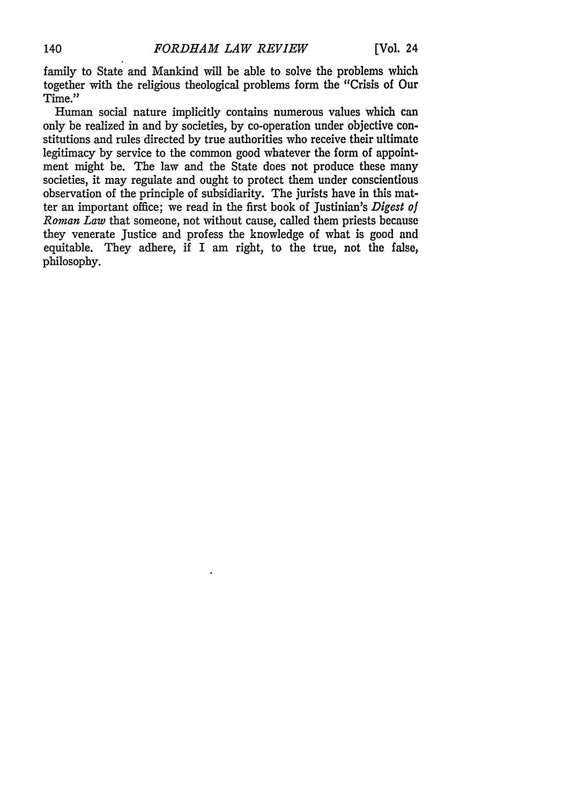family to State and Mankind will be able to solve the problems which together with the religious theological problems form the "Crisis of Our Time."

Human social nature implicitly contains numerous values which can only be realized in and by societies, by co-operation under objective constitutions and rules directed by true authorities who receive their ultimate legitimacy by service to the common good whatever the form of appointment might be. The law and the State does not produce these many societies, it may regulate and ought to protect them under conscientious observation of the principle of subsidiarity. The jurists have in this matter an important office; we read in the first book of Justinian's *Digest of Roman Law* that someone, not without cause, called them priests because they venerate Justice and profess the knowledge of what is good and equitable. They adhere, if I am right, to the true, not the false, philosophy.